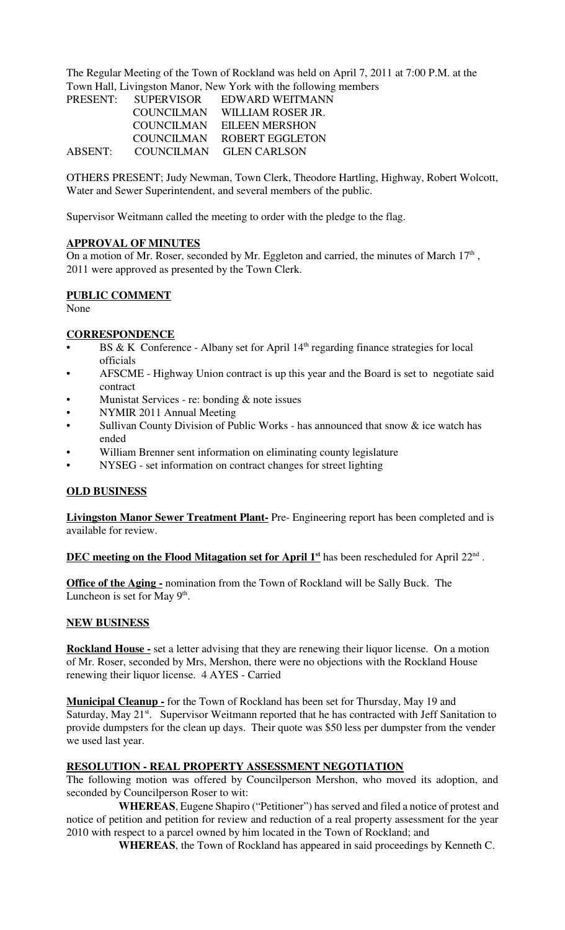The Regular Meeting of the Town of Rockland was held on April 7, 2011 at 7:00 P.M. at the Town Hall, Livingston Manor, New York with the following members

| <b>PRESENT:</b> | <b>SUPERVISOR</b> | EDWARD WEITMANN         |
|-----------------|-------------------|-------------------------|
|                 | <b>COUNCILMAN</b> | WILLIAM ROSER JR.       |
|                 | COUNCILMAN        | <b>EILEEN MERSHON</b>   |
|                 | <b>COUNCILMAN</b> | ROBERT EGGLETON         |
| ABSENT:         |                   | COUNCILMAN GLEN CARLSON |

OTHERS PRESENT; Judy Newman, Town Clerk, Theodore Hartling, Highway, Robert Wolcott, Water and Sewer Superintendent, and several members of the public.

Supervisor Weitmann called the meeting to order with the pledge to the flag.

# **APPROVAL OF MINUTES**

On a motion of Mr. Roser, seconded by Mr. Eggleton and carried, the minutes of March  $17<sup>th</sup>$ , 2011 were approved as presented by the Town Clerk.

#### **PUBLIC COMMENT**

None

#### **CORRESPONDENCE**

- BS & K Conference Albany set for April  $14<sup>th</sup>$  regarding finance strategies for local officials
- AFSCME Highway Union contract is up this year and the Board is set to negotiate said contract
- Munistat Services re: bonding  $&$  note issues
- NYMIR 2011 Annual Meeting
- Sullivan County Division of Public Works has announced that snow  $\&$  ice watch has ended
- William Brenner sent information on eliminating county legislature
- NYSEG set information on contract changes for street lighting

# **OLD BUSINESS**

**Livingston Manor Sewer Treatment Plant-** Pre- Engineering report has been completed and is available for review.

#### **DEC meeting on the Flood Mitagation set for April 1st** has been rescheduled for April 22nd .

**Office of the Aging -** nomination from the Town of Rockland will be Sally Buck. The Luncheon is set for May  $9<sup>th</sup>$ .

#### **NEW BUSINESS**

**Rockland House -** set a letter advising that they are renewing their liquor license. On a motion of Mr. Roser, seconded by Mrs, Mershon, there were no objections with the Rockland House renewing their liquor license. 4 AYES - Carried

**Municipal Cleanup -** for the Town of Rockland has been set for Thursday, May 19 and Saturday, May 21<sup>st</sup>. Supervisor Weitmann reported that he has contracted with Jeff Sanitation to provide dumpsters for the clean up days. Their quote was \$50 less per dumpster from the vender we used last year.

# **RESOLUTION - REAL PROPERTY ASSESSMENT NEGOTIATION**

The following motion was offered by Councilperson Mershon, who moved its adoption, and seconded by Councilperson Roser to wit:

**WHEREAS**, Eugene Shapiro ("Petitioner") has served and filed a notice of protest and notice of petition and petition for review and reduction of a real property assessment for the year 2010 with respect to a parcel owned by him located in the Town of Rockland; and

**WHEREAS**, the Town of Rockland has appeared in said proceedings by Kenneth C.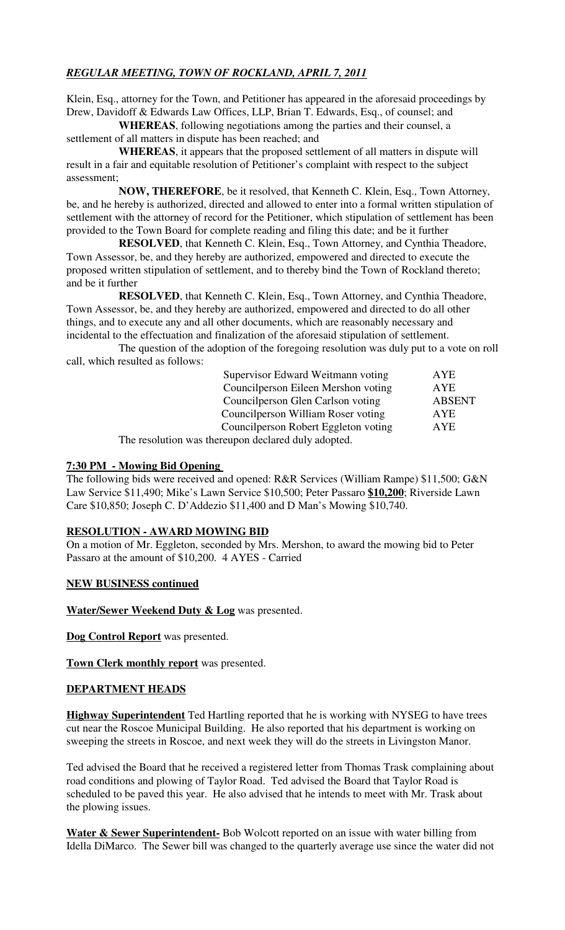# *REGULAR MEETING, TOWN OF ROCKLAND, APRIL 7, 2011*

Klein, Esq., attorney for the Town, and Petitioner has appeared in the aforesaid proceedings by Drew, Davidoff & Edwards Law Offices, LLP, Brian T. Edwards, Esq., of counsel; and

**WHEREAS**, following negotiations among the parties and their counsel, a settlement of all matters in dispute has been reached; and

**WHEREAS**, it appears that the proposed settlement of all matters in dispute will result in a fair and equitable resolution of Petitioner's complaint with respect to the subject assessment;

**NOW, THEREFORE**, be it resolved, that Kenneth C. Klein, Esq., Town Attorney, be, and he hereby is authorized, directed and allowed to enter into a formal written stipulation of settlement with the attorney of record for the Petitioner, which stipulation of settlement has been provided to the Town Board for complete reading and filing this date; and be it further

**RESOLVED**, that Kenneth C. Klein, Esq., Town Attorney, and Cynthia Theadore, Town Assessor, be, and they hereby are authorized, empowered and directed to execute the proposed written stipulation of settlement, and to thereby bind the Town of Rockland thereto; and be it further

**RESOLVED**, that Kenneth C. Klein, Esq., Town Attorney, and Cynthia Theadore, Town Assessor, be, and they hereby are authorized, empowered and directed to do all other things, and to execute any and all other documents, which are reasonably necessary and incidental to the effectuation and finalization of the aforesaid stipulation of settlement.

The question of the adoption of the foregoing resolution was duly put to a vote on roll call, which resulted as follows:

| Supervisor Edward Weitmann voting                   | <b>AYE</b>    |
|-----------------------------------------------------|---------------|
| Councilperson Eileen Mershon voting                 | AYE           |
| Council person Glen Carlson voting                  | <b>ABSENT</b> |
| Councilperson William Roser voting                  | AYE           |
| Councilperson Robert Eggleton voting                | AYE           |
| The resolution was thereupon declared duly adopted. |               |

# **7:30 PM - Mowing Bid Opening**

The following bids were received and opened: R&R Services (William Rampe) \$11,500; G&N Law Service \$11,490; Mike's Lawn Service \$10,500; Peter Passaro **\$10,200**; Riverside Lawn Care \$10,850; Joseph C. D'Addezio \$11,400 and D Man's Mowing \$10,740.

# **RESOLUTION - AWARD MOWING BID**

On a motion of Mr. Eggleton, seconded by Mrs. Mershon, to award the mowing bid to Peter Passaro at the amount of \$10,200. 4 AYES - Carried

#### **NEW BUSINESS continued**

**Water/Sewer Weekend Duty & Log** was presented.

**Dog Control Report** was presented.

**Town Clerk monthly report** was presented.

# **DEPARTMENT HEADS**

**Highway Superintendent** Ted Hartling reported that he is working with NYSEG to have trees cut near the Roscoe Municipal Building. He also reported that his department is working on sweeping the streets in Roscoe, and next week they will do the streets in Livingston Manor.

Ted advised the Board that he received a registered letter from Thomas Trask complaining about road conditions and plowing of Taylor Road. Ted advised the Board that Taylor Road is scheduled to be paved this year. He also advised that he intends to meet with Mr. Trask about the plowing issues.

**Water & Sewer Superintendent-** Bob Wolcott reported on an issue with water billing from Idella DiMarco. The Sewer bill was changed to the quarterly average use since the water did not